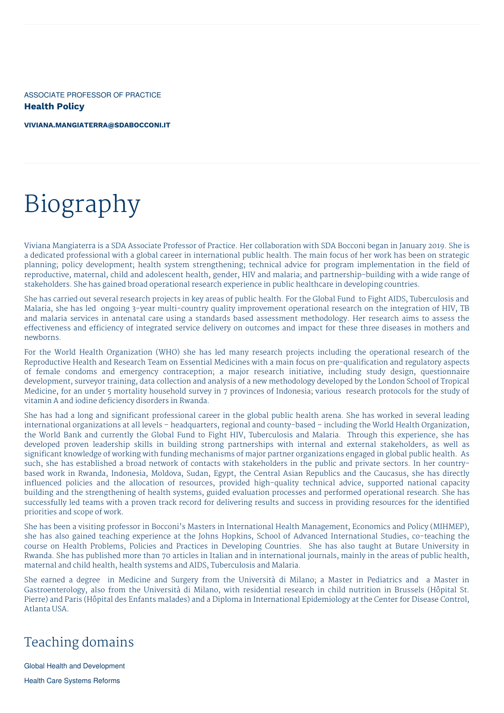ASSOCIATE PROFESSOR OF PRACTICE **Health Policy**

**[VIVIANA.MANGIATERRA@SDABOCCONI.IT](mailto:viviana.mangiaterra@sdabocconi.it)**

# Biography

Viviana Mangiaterra is a SDA Associate Professor of Practice. Her collaboration with SDA Bocconi began in January 2019. She is a dedicated professional with a global career in international public health. The main focus of her work has been on strategic planning; policy development; health system strengthening; technical advice for program implementation in the field of reproductive, maternal, child and adolescent health, gender, HIV and malaria; and partnership-building with a wide range of stakeholders. She has gained broad operational research experience in public healthcare in developing countries.

She has carried out several research projects in key areas of public health. For the Global Fund to Fight AIDS, Tuberculosis and Malaria, she has led ongoing 3-year multi-country quality improvement operational research on the integration of HIV, TB and malaria services in antenatal care using a standards based assessment methodology. Her research aims to assess the effectiveness and efficiency of integrated service delivery on outcomes and impact for these three diseases in mothers and newborns.

For the World Health Organization (WHO) she has led many research projects including the operational research of the Reproductive Health and Research Team on Essential Medicines with a main focus on pre-qualification and regulatory aspects of female condoms and emergency contraception; a major research initiative, including study design, questionnaire development, surveyor training, data collection and analysis of a new methodology developed by the London School of Tropical Medicine, for an under 5 mortality household survey in 7 provinces of Indonesia; various research protocols for the study of vitamin A and iodine deficiency disorders in Rwanda.

She has had a long and significant professional career in the global public health arena. She has worked in several leading international organizations at all levels – headquarters, regional and county-based – including the World Health Organization, the World Bank and currently the Global Fund to Fight HIV, Tuberculosis and Malaria. Through this experience, she has developed proven leadership skills in building strong partnerships with internal and external stakeholders, as well as significant knowledge of working with funding mechanisms of major partner organizations engaged in global public health. As such, she has established a broad network of contacts with stakeholders in the public and private sectors. In her countrybased work in Rwanda, Indonesia, Moldova, Sudan, Egypt, the Central Asian Republics and the Caucasus, she has directly influenced policies and the allocation of resources, provided high-quality technical advice, supported national capacity building and the strengthening of health systems, guided evaluation processes and performed operational research. She has successfully led teams with a proven track record for delivering results and success in providing resources for the identified priorities and scope of work.

She has been a visiting professor in Bocconi's Masters in International Health Management, Economics and Policy (MIHMEP), she has also gained teaching experience at the Johns Hopkins, School of Advanced International Studies, co-teaching the course on Health Problems, Policies and Practices in Developing Countries. She has also taught at Butare University in Rwanda. She has published more than 70 articles in Italian and in international journals, mainly in the areas of public health, maternal and child health, health systems and AIDS, Tuberculosis and Malaria.

She earned a degree in Medicine and Surgery from the Università di Milano; a Master in Pediatrics and a Master in Gastroenterology, also from the Università di Milano, with residential research in child nutrition in Brussels (Hôpital St. Pierre) and Paris (Hôpital des Enfants malades) and a Diploma in International Epidemiology at the Center for Disease Control, Atlanta USA.

# Teaching domains

Global Health and Development

Health Care Systems Reforms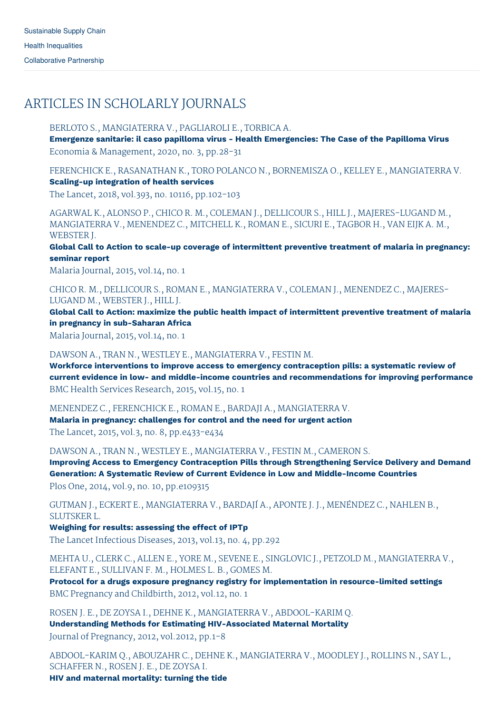# ARTICLES IN SCHOLARLY JOURNALS

### BERLOTO S., MANGIATERRA V., PAGLIAROLI E., TORBICA A.

**Emergenze sanitarie: il caso papilloma virus - Health Emergencies: The Case of the Papilloma Virus** Economia & Management, 2020, no. 3, pp.28-31

FERENCHICK E., RASANATHAN K., TORO POLANCO N., BORNEMISZA O., KELLEY E., MANGIATERRA V. **Scaling-up integration of health services**

The Lancet, 2018, vol.393, no. 10116, pp.102-103

AGARWAL K., ALONSO P., CHICO R. M., COLEMAN J., DELLICOUR S., HILL J., MAJERES-LUGAND M., MANGIATERRA V., MENENDEZ C., MITCHELL K., ROMAN E., SICURI E., TAGBOR H., VAN EIJK A. M., WEBSTER J.

**Global Call to Action to scale-up coverage of intermittent preventive treatment of malaria in pregnancy: seminar report**

Malaria Journal, 2015, vol.14, no. 1

CHICO R. M., DELLICOUR S., ROMAN E., MANGIATERRA V., COLEMAN J., MENENDEZ C., MAJERES-LUGAND M., WEBSTER J., HILL J.

**Global Call to Action: maximize the public health impact of intermittent preventive treatment of malaria in pregnancy in sub-Saharan Africa**

Malaria Journal, 2015, vol.14, no. 1

### DAWSON A., TRAN N., WESTLEY E., MANGIATERRA V., FESTIN M.

**Workforce interventions to improve access to emergency contraception pills: a systematic review of current evidence in low- and middle-income countries and recommendations for improving performance** BMC Health Services Research, 2015, vol.15, no. 1

MENENDEZ C., FERENCHICK E., ROMAN E., BARDAJI A., MANGIATERRA V.

**Malaria in pregnancy: challenges for control and the need for urgent action** The Lancet, 2015, vol.3, no. 8, pp.e433-e434

DAWSON A., TRAN N., WESTLEY E., MANGIATERRA V., FESTIN M., CAMERON S.

**Improving Access to Emergency Contraception Pills through Strengthening Service Delivery and Demand Generation: A Systematic Review of Current Evidence in Low and Middle-Income Countries** Plos One, 2014, vol.9, no. 10, pp.e109315

GUTMAN J., ECKERT E., MANGIATERRA V., BARDAJÍ A., APONTE J. J., MENÉNDEZ C., NAHLEN B., SLUTSKER L.

**Weighing for results: assessing the effect of IPTp**

The Lancet Infectious Diseases, 2013, vol.13, no. 4, pp.292

MEHTA U., CLERK C., ALLEN E., YORE M., SEVENE E., SINGLOVIC J., PETZOLD M., MANGIATERRA V., ELEFANT E., SULLIVAN F. M., HOLMES L. B., GOMES M.

**Protocol for a drugs exposure pregnancy registry for implementation in resource-limited settings** BMC Pregnancy and Childbirth, 2012, vol.12, no. 1

ROSEN J. E., DE ZOYSA I., DEHNE K., MANGIATERRA V., ABDOOL-KARIM Q. **Understanding Methods for Estimating HIV-Associated Maternal Mortality** Journal of Pregnancy, 2012, vol.2012, pp.1-8

ABDOOL-KARIM Q., ABOUZAHR C., DEHNE K., MANGIATERRA V., MOODLEY J., ROLLINS N., SAY L., SCHAFFER N., ROSEN J. E., DE ZOYSA I.

**HIV and maternal mortality: turning the tide**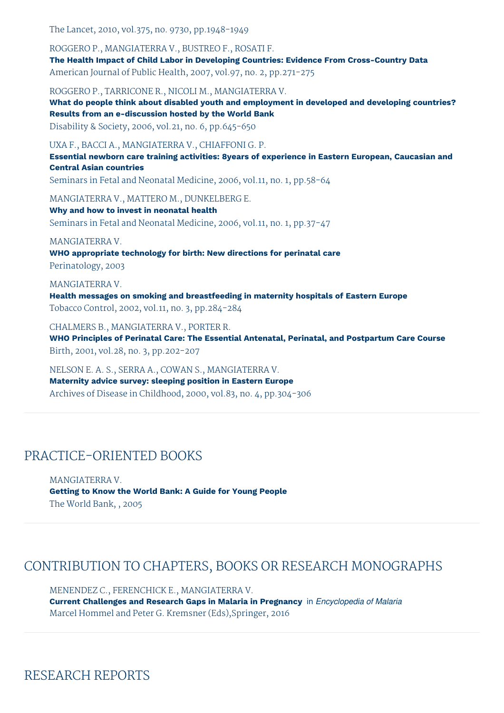The Lancet, 2010, vol.375, no. 9730, pp.1948-1949

ROGGERO P., MANGIATERRA V., BUSTREO F., ROSATI F. **The Health Impact of Child Labor in Developing Countries: Evidence From Cross-Country Data** American Journal of Public Health, 2007, vol.97, no. 2, pp.271-275

ROGGERO P., TARRICONE R., NICOLI M., MANGIATERRA V.

**What do people think about disabled youth and employment in developed and developing countries? Results from an e-discussion hosted by the World Bank**

Disability & Society, 2006, vol.21, no. 6, pp.645-650

UXA F., BACCI A., MANGIATERRA V., CHIAFFONI G. P.

**Essential newborn care training activities: 8years of experience in Eastern European, Caucasian and Central Asian countries**

Seminars in Fetal and Neonatal Medicine, 2006, vol.11, no. 1, pp.58-64

MANGIATERRA V., MATTERO M., DUNKELBERG E.

**Why and how to invest in neonatal health** Seminars in Fetal and Neonatal Medicine, 2006, vol.11, no. 1, pp.37-47

MANGIATERRA V.

**WHO appropriate technology for birth: New directions for perinatal care** Perinatology, 2003

MANGIATERRA V. **Health messages on smoking and breastfeeding in maternity hospitals of Eastern Europe** Tobacco Control, 2002, vol.11, no. 3, pp.284-284

CHALMERS B., MANGIATERRA V., PORTER R. **WHO Principles of Perinatal Care: The Essential Antenatal, Perinatal, and Postpartum Care Course** Birth, 2001, vol.28, no. 3, pp.202-207

NELSON E. A. S., SERRA A., COWAN S., MANGIATERRA V. **Maternity advice survey: sleeping position in Eastern Europe** Archives of Disease in Childhood, 2000, vol.83, no. 4, pp.304-306

## PRACTICE-ORIENTED BOOKS

MANGIATERRA V. **Getting to Know the World Bank: A Guide for Young People** The World Bank, , 2005

## CONTRIBUTION TO CHAPTERS, BOOKS OR RESEARCH MONOGRAPHS

MENENDEZ C., FERENCHICK E., MANGIATERRA V. **Current Challenges and Research Gaps in Malaria in Pregnancy** in *Encyclopedia of Malaria* Marcel Hommel and Peter G. Kremsner (Eds),Springer, 2016

## RESEARCH REPORTS